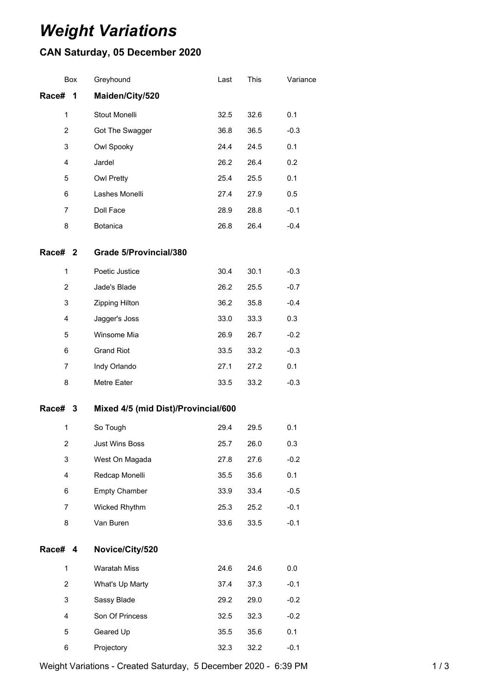## *Weight Variations*

## **CAN Saturday, 05 December 2020**

| <b>Box</b>         |   | Greyhound                           | Last | This | Variance |  |
|--------------------|---|-------------------------------------|------|------|----------|--|
| Race#              | 1 | Maiden/City/520                     |      |      |          |  |
| 1                  |   | Stout Monelli                       | 32.5 | 32.6 | 0.1      |  |
| $\overline{c}$     |   | Got The Swagger                     | 36.8 | 36.5 | $-0.3$   |  |
| 3                  |   | Owl Spooky                          | 24.4 | 24.5 | 0.1      |  |
| $\overline{4}$     |   | Jardel                              | 26.2 | 26.4 | 0.2      |  |
| 5                  |   | <b>Owl Pretty</b>                   | 25.4 | 25.5 | 0.1      |  |
| 6                  |   | Lashes Monelli                      | 27.4 | 27.9 | 0.5      |  |
| $\overline{7}$     |   | Doll Face                           | 28.9 | 28.8 | $-0.1$   |  |
| 8                  |   | Botanica                            | 26.8 | 26.4 | $-0.4$   |  |
| Race# <sub>2</sub> |   | <b>Grade 5/Provincial/380</b>       |      |      |          |  |
| $\mathbf 1$        |   | Poetic Justice                      | 30.4 | 30.1 | $-0.3$   |  |
| $\overline{2}$     |   | Jade's Blade                        | 26.2 | 25.5 | $-0.7$   |  |
| 3                  |   | Zipping Hilton                      | 36.2 | 35.8 | $-0.4$   |  |
| 4                  |   | Jagger's Joss                       | 33.0 | 33.3 | 0.3      |  |
| 5                  |   | Winsome Mia                         | 26.9 | 26.7 | $-0.2$   |  |
| 6                  |   | <b>Grand Riot</b>                   | 33.5 | 33.2 | $-0.3$   |  |
| 7                  |   | Indy Orlando                        | 27.1 | 27.2 | 0.1      |  |
| 8                  |   | Metre Eater                         | 33.5 | 33.2 | $-0.3$   |  |
| Race# 3            |   | Mixed 4/5 (mid Dist)/Provincial/600 |      |      |          |  |
| 1                  |   | So Tough                            | 29.4 | 29.5 | 0.1      |  |
| 2                  |   | Just Wins Boss                      | 25.7 | 26.0 | 0.3      |  |
| 3                  |   | West On Magada                      | 27.8 | 27.6 | $-0.2$   |  |
| 4                  |   | Redcap Monelli                      | 35.5 | 35.6 | 0.1      |  |
| 6                  |   | <b>Empty Chamber</b>                | 33.9 | 33.4 | $-0.5$   |  |
| 7                  |   | Wicked Rhythm                       | 25.3 | 25.2 | $-0.1$   |  |
| 8                  |   | Van Buren                           | 33.6 | 33.5 | $-0.1$   |  |
| Race# 4            |   | Novice/City/520                     |      |      |          |  |
| $\mathbf 1$        |   | Waratah Miss                        | 24.6 | 24.6 | 0.0      |  |
| $\overline{2}$     |   | What's Up Marty                     | 37.4 | 37.3 | $-0.1$   |  |
| 3                  |   | Sassy Blade                         | 29.2 | 29.0 | $-0.2$   |  |
| 4                  |   | Son Of Princess                     | 32.5 | 32.3 | $-0.2$   |  |
| 5                  |   | Geared Up                           | 35.5 | 35.6 | 0.1      |  |
| 6                  |   | Projectory                          | 32.3 | 32.2 | $-0.1$   |  |

Weight Variations - Created Saturday, 5 December 2020 - 6:39 PM 1/3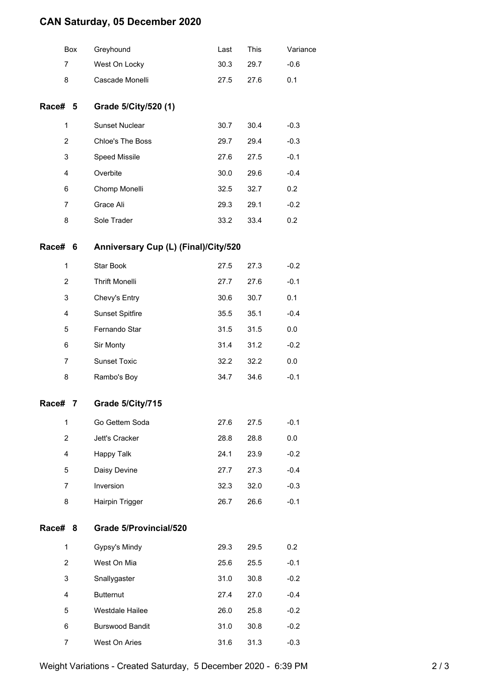## **CAN Saturday, 05 December 2020**

|                | Box | Greyhound                            | Last | This | Variance |
|----------------|-----|--------------------------------------|------|------|----------|
| $\overline{7}$ |     | West On Locky                        | 30.3 | 29.7 | $-0.6$   |
| 8              |     | Cascade Monelli                      | 27.5 | 27.6 | 0.1      |
| Race# 5        |     | Grade 5/City/520 (1)                 |      |      |          |
| 1              |     | <b>Sunset Nuclear</b>                | 30.7 | 30.4 | $-0.3$   |
| $\overline{2}$ |     | Chloe's The Boss                     | 29.7 | 29.4 | $-0.3$   |
| 3              |     | Speed Missile                        | 27.6 | 27.5 | $-0.1$   |
| 4              |     | Overbite                             | 30.0 | 29.6 | $-0.4$   |
| 6              |     | Chomp Monelli                        | 32.5 | 32.7 | 0.2      |
| 7              |     | Grace Ali                            | 29.3 | 29.1 | $-0.2$   |
| 8              |     | Sole Trader                          | 33.2 | 33.4 | 0.2      |
| Race# 6        |     | Anniversary Cup (L) (Final)/City/520 |      |      |          |
| 1              |     | Star Book                            | 27.5 | 27.3 | $-0.2$   |
| 2              |     | <b>Thrift Monelli</b>                | 27.7 | 27.6 | $-0.1$   |
| 3              |     | Chevy's Entry                        | 30.6 | 30.7 | 0.1      |
| 4              |     | <b>Sunset Spitfire</b>               | 35.5 | 35.1 | $-0.4$   |
| 5              |     | Fernando Star                        | 31.5 | 31.5 | 0.0      |
| 6              |     | Sir Monty                            | 31.4 | 31.2 | $-0.2$   |
| $\overline{7}$ |     | <b>Sunset Toxic</b>                  | 32.2 | 32.2 | 0.0      |
| 8              |     | Rambo's Boy                          | 34.7 | 34.6 | $-0.1$   |
| Race#          | 7   | Grade 5/City/715                     |      |      |          |
| 1              |     | Go Gettem Soda                       | 27.6 | 27.5 | $-0.1$   |
| $\overline{c}$ |     | Jett's Cracker                       | 28.8 | 28.8 | 0.0      |
| 4              |     | Happy Talk                           | 24.1 | 23.9 | $-0.2$   |
| 5              |     | Daisy Devine                         | 27.7 | 27.3 | $-0.4$   |
| $\overline{7}$ |     | Inversion                            | 32.3 | 32.0 | $-0.3$   |
| 8              |     | Hairpin Trigger                      | 26.7 | 26.6 | $-0.1$   |
| Race# 8        |     | <b>Grade 5/Provincial/520</b>        |      |      |          |
| 1              |     | Gypsy's Mindy                        | 29.3 | 29.5 | 0.2      |
| $\overline{2}$ |     | West On Mia                          | 25.6 | 25.5 | $-0.1$   |
| 3              |     | Snallygaster                         | 31.0 | 30.8 | $-0.2$   |
| 4              |     | <b>Butternut</b>                     | 27.4 | 27.0 | $-0.4$   |
| 5              |     | Westdale Hailee                      | 26.0 | 25.8 | $-0.2$   |
| 6              |     | <b>Burswood Bandit</b>               | 31.0 | 30.8 | $-0.2$   |
| 7              |     | West On Aries                        | 31.6 | 31.3 | $-0.3$   |